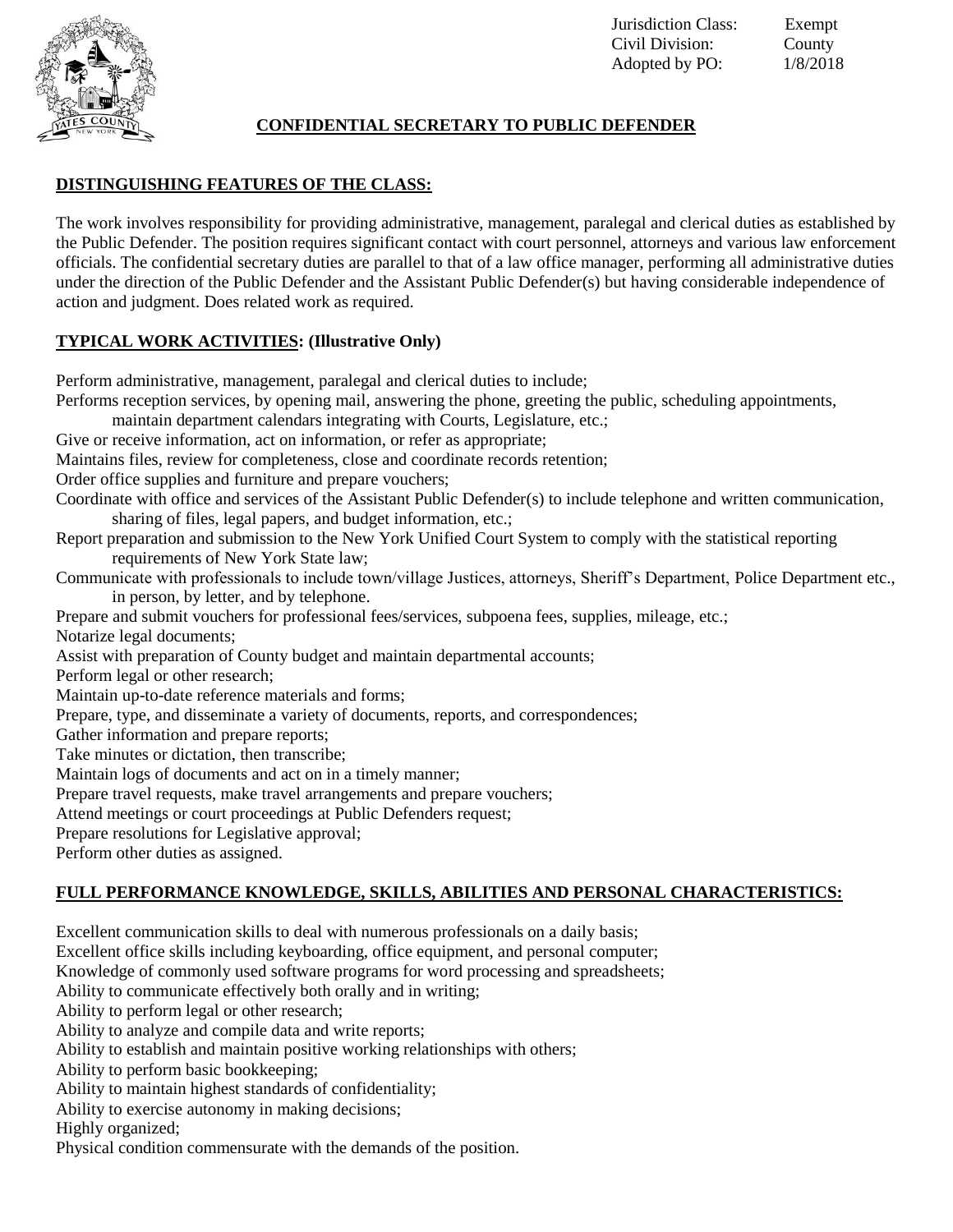

### **CONFIDENTIAL SECRETARY TO PUBLIC DEFENDER**

# **DISTINGUISHING FEATURES OF THE CLASS:**

The work involves responsibility for providing administrative, management, paralegal and clerical duties as established by the Public Defender. The position requires significant contact with court personnel, attorneys and various law enforcement officials. The confidential secretary duties are parallel to that of a law office manager, performing all administrative duties under the direction of the Public Defender and the Assistant Public Defender(s) but having considerable independence of action and judgment. Does related work as required.

### **TYPICAL WORK ACTIVITIES: (Illustrative Only)**

Perform administrative, management, paralegal and clerical duties to include; Performs reception services, by opening mail, answering the phone, greeting the public, scheduling appointments, maintain department calendars integrating with Courts, Legislature, etc.; Give or receive information, act on information, or refer as appropriate; Maintains files, review for completeness, close and coordinate records retention; Order office supplies and furniture and prepare vouchers; Coordinate with office and services of the Assistant Public Defender(s) to include telephone and written communication, sharing of files, legal papers, and budget information, etc.; Report preparation and submission to the New York Unified Court System to comply with the statistical reporting requirements of New York State law; Communicate with professionals to include town/village Justices, attorneys, Sheriff's Department, Police Department etc., in person, by letter, and by telephone. Prepare and submit vouchers for professional fees/services, subpoena fees, supplies, mileage, etc.; Notarize legal documents; Assist with preparation of County budget and maintain departmental accounts; Perform legal or other research; Maintain up-to-date reference materials and forms; Prepare, type, and disseminate a variety of documents, reports, and correspondences; Gather information and prepare reports; Take minutes or dictation, then transcribe; Maintain logs of documents and act on in a timely manner; Prepare travel requests, make travel arrangements and prepare vouchers; Attend meetings or court proceedings at Public Defenders request; Prepare resolutions for Legislative approval; Perform other duties as assigned.

# **FULL PERFORMANCE KNOWLEDGE, SKILLS, ABILITIES AND PERSONAL CHARACTERISTICS:**

Excellent communication skills to deal with numerous professionals on a daily basis; Excellent office skills including keyboarding, office equipment, and personal computer; Knowledge of commonly used software programs for word processing and spreadsheets; Ability to communicate effectively both orally and in writing; Ability to perform legal or other research; Ability to analyze and compile data and write reports; Ability to establish and maintain positive working relationships with others; Ability to perform basic bookkeeping; Ability to maintain highest standards of confidentiality; Ability to exercise autonomy in making decisions; Highly organized; Physical condition commensurate with the demands of the position.